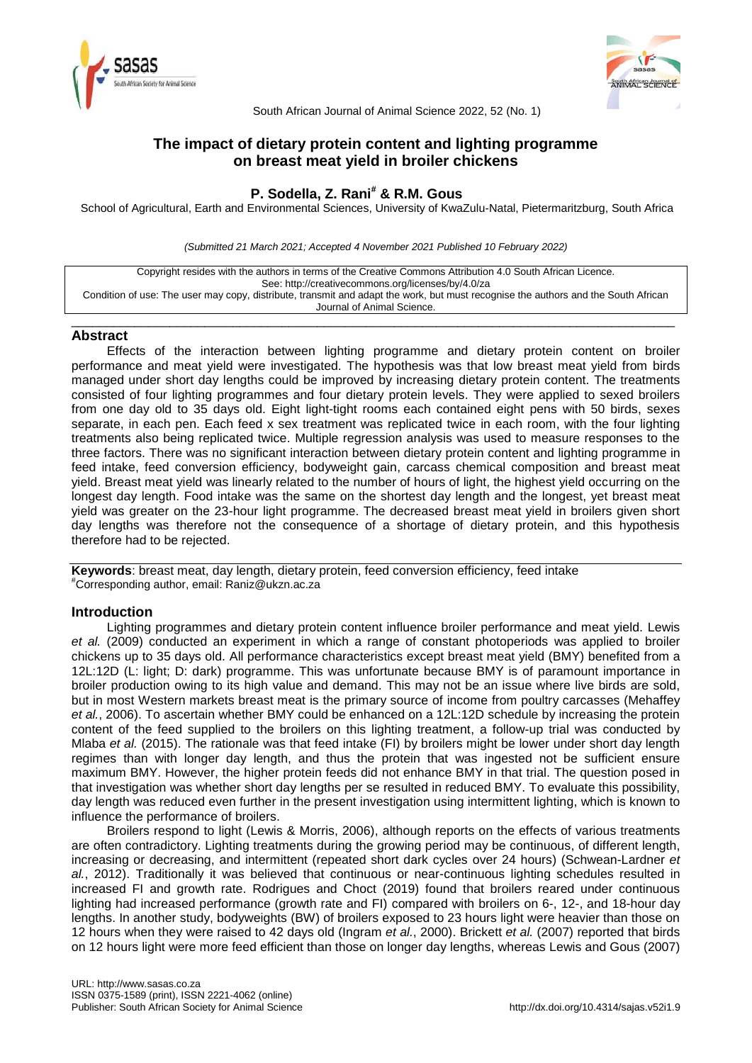



South African Journal of Animal Science 2022, 52 (No. 1)

# **The impact of dietary protein content and lighting programme on breast meat yield in broiler chickens**

# **P. Sodella, Z. Rani# & R.M. Gous**

School of Agricultural, Earth and Environmental Sciences, University of KwaZulu-Natal, Pietermaritzburg, South Africa

*(Submitted 21 March 2021; Accepted 4 November 2021 Published 10 February 2022)*

Copyright resides with the authors in terms of the Creative Commons Attribution 4.0 South African Licence. See: http://creativecommons.org/licenses/by/4.0/za Condition of use: The user may copy, distribute, transmit and adapt the work, but must recognise the authors and the South African Journal of Animal Science.

\_\_\_\_\_\_\_\_\_\_\_\_\_\_\_\_\_\_\_\_\_\_\_\_\_\_\_\_\_\_\_\_\_\_\_\_\_\_\_\_\_\_\_\_\_\_\_\_\_\_\_\_\_\_\_\_\_\_\_\_\_\_\_\_\_\_\_\_\_\_\_\_\_\_\_\_\_\_\_\_\_\_\_\_\_\_

## **Abstract**

Effects of the interaction between lighting programme and dietary protein content on broiler performance and meat yield were investigated. The hypothesis was that low breast meat yield from birds managed under short day lengths could be improved by increasing dietary protein content. The treatments consisted of four lighting programmes and four dietary protein levels. They were applied to sexed broilers from one day old to 35 days old. Eight light-tight rooms each contained eight pens with 50 birds, sexes separate, in each pen. Each feed x sex treatment was replicated twice in each room, with the four lighting treatments also being replicated twice. Multiple regression analysis was used to measure responses to the three factors. There was no significant interaction between dietary protein content and lighting programme in feed intake, feed conversion efficiency, bodyweight gain, carcass chemical composition and breast meat yield. Breast meat yield was linearly related to the number of hours of light, the highest yield occurring on the longest day length. Food intake was the same on the shortest day length and the longest, yet breast meat yield was greater on the 23-hour light programme. The decreased breast meat yield in broilers given short day lengths was therefore not the consequence of a shortage of dietary protein, and this hypothesis therefore had to be rejected.

**Keywords**: breast meat, day length, dietary protein, feed conversion efficiency, feed intake #Corresponding author, email[: Raniz@ukzn.ac.za](mailto:Raniz@ukzn.ac.za)

## **Introduction**

Lighting programmes and dietary protein content influence broiler performance and meat yield. Lewis *et al.* (2009) conducted an experiment in which a range of constant photoperiods was applied to broiler chickens up to 35 days old. All performance characteristics except breast meat yield (BMY) benefited from a 12L:12D (L: light; D: dark) programme. This was unfortunate because BMY is of paramount importance in broiler production owing to its high value and demand. This may not be an issue where live birds are sold, but in most Western markets breast meat is the primary source of income from poultry carcasses (Mehaffey *et al.*, 2006). To ascertain whether BMY could be enhanced on a 12L:12D schedule by increasing the protein content of the feed supplied to the broilers on this lighting treatment, a follow-up trial was conducted by Mlaba *et al.* (2015). The rationale was that feed intake (FI) by broilers might be lower under short day length regimes than with longer day length, and thus the protein that was ingested not be sufficient ensure maximum BMY. However, the higher protein feeds did not enhance BMY in that trial. The question posed in that investigation was whether short day lengths per se resulted in reduced BMY. To evaluate this possibility, day length was reduced even further in the present investigation using intermittent lighting, which is known to influence the performance of broilers.

Broilers respond to light (Lewis & Morris, 2006), although reports on the effects of various treatments are often contradictory. Lighting treatments during the growing period may be continuous, of different length, increasing or decreasing, and intermittent (repeated short dark cycles over 24 hours) (Schwean-Lardner *et al.*, 2012). Traditionally it was believed that continuous or near-continuous lighting schedules resulted in increased FI and growth rate. Rodrigues and Choct (2019) found that broilers reared under continuous lighting had increased performance (growth rate and FI) compared with broilers on 6-, 12-, and 18-hour day lengths. In another study, bodyweights (BW) of broilers exposed to 23 hours light were heavier than those on 12 hours when they were raised to 42 days old (Ingram *et al.*, 2000). Brickett *et al.* (2007) reported that birds on 12 hours light were more feed efficient than those on longer day lengths, whereas Lewis and Gous (2007)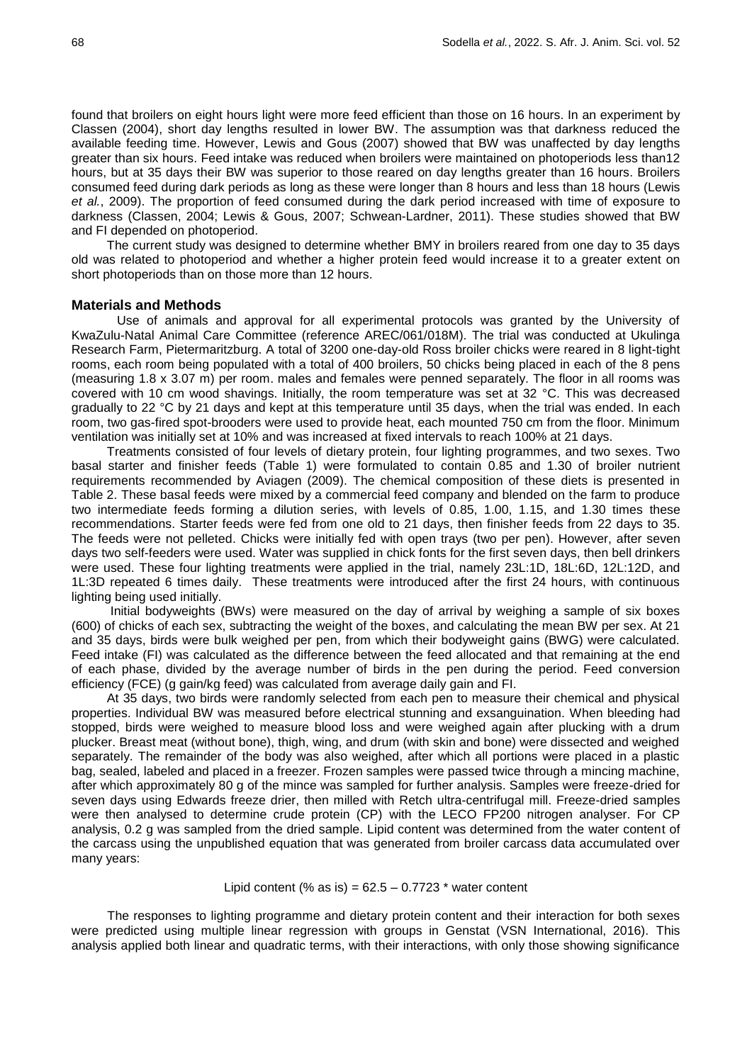found that broilers on eight hours light were more feed efficient than those on 16 hours. In an experiment by Classen (2004), short day lengths resulted in lower BW. The assumption was that darkness reduced the available feeding time. However, Lewis and Gous (2007) showed that BW was unaffected by day lengths greater than six hours. Feed intake was reduced when broilers were maintained on photoperiods less than12 hours, but at 35 days their BW was superior to those reared on day lengths greater than 16 hours. Broilers consumed feed during dark periods as long as these were longer than 8 hours and less than 18 hours (Lewis *et al.*, 2009). The proportion of feed consumed during the dark period increased with time of exposure to darkness (Classen, 2004; Lewis & Gous, 2007; Schwean-Lardner, 2011). These studies showed that BW and FI depended on photoperiod.

The current study was designed to determine whether BMY in broilers reared from one day to 35 days old was related to photoperiod and whether a higher protein feed would increase it to a greater extent on short photoperiods than on those more than 12 hours.

### **Materials and Methods**

Use of animals and approval for all experimental protocols was granted by the University of KwaZulu-Natal Animal Care Committee (reference AREC/061/018M). The trial was conducted at Ukulinga Research Farm, Pietermaritzburg. A total of 3200 one-day-old Ross broiler chicks were reared in 8 light-tight rooms, each room being populated with a total of 400 broilers, 50 chicks being placed in each of the 8 pens (measuring 1.8 x 3.07 m) per room. males and females were penned separately. The floor in all rooms was covered with 10 cm wood shavings. Initially, the room temperature was set at 32 °C. This was decreased gradually to 22 °C by 21 days and kept at this temperature until 35 days, when the trial was ended. In each room, two gas-fired spot-brooders were used to provide heat, each mounted 750 cm from the floor. Minimum ventilation was initially set at 10% and was increased at fixed intervals to reach 100% at 21 days.

Treatments consisted of four levels of dietary protein, four lighting programmes, and two sexes. Two basal starter and finisher feeds (Table 1) were formulated to contain 0.85 and 1.30 of broiler nutrient requirements recommended by Aviagen (2009). The chemical composition of these diets is presented in Table 2. These basal feeds were mixed by a commercial feed company and blended on the farm to produce two intermediate feeds forming a dilution series, with levels of 0.85, 1.00, 1.15, and 1.30 times these recommendations. Starter feeds were fed from one old to 21 days, then finisher feeds from 22 days to 35. The feeds were not pelleted. Chicks were initially fed with open trays (two per pen). However, after seven days two self-feeders were used. Water was supplied in chick fonts for the first seven days, then bell drinkers were used. These four lighting treatments were applied in the trial, namely 23L:1D, 18L:6D, 12L:12D, and 1L:3D repeated 6 times daily. These treatments were introduced after the first 24 hours, with continuous lighting being used initially.

Initial bodyweights (BWs) were measured on the day of arrival by weighing a sample of six boxes (600) of chicks of each sex, subtracting the weight of the boxes, and calculating the mean BW per sex. At 21 and 35 days, birds were bulk weighed per pen, from which their bodyweight gains (BWG) were calculated. Feed intake (FI) was calculated as the difference between the feed allocated and that remaining at the end of each phase, divided by the average number of birds in the pen during the period. Feed conversion efficiency (FCE) (g gain/kg feed) was calculated from average daily gain and FI.

At 35 days, two birds were randomly selected from each pen to measure their chemical and physical properties. Individual BW was measured before electrical stunning and exsanguination. When bleeding had stopped, birds were weighed to measure blood loss and were weighed again after plucking with a drum plucker. Breast meat (without bone), thigh, wing, and drum (with skin and bone) were dissected and weighed separately. The remainder of the body was also weighed, after which all portions were placed in a plastic bag, sealed, labeled and placed in a freezer. Frozen samples were passed twice through a mincing machine, after which approximately 80 g of the mince was sampled for further analysis. Samples were freeze-dried for seven days using Edwards freeze drier, then milled with Retch ultra-centrifugal mill. Freeze-dried samples were then analysed to determine crude protein (CP) with the LECO FP200 nitrogen analyser. For CP analysis, 0.2 g was sampled from the dried sample. Lipid content was determined from the water content of the carcass using the unpublished equation that was generated from broiler carcass data accumulated over many years:

#### Lipid content (% as is) =  $62.5 - 0.7723$  \* water content

The responses to lighting programme and dietary protein content and their interaction for both sexes were predicted using multiple linear regression with groups in Genstat (VSN International, 2016). This analysis applied both linear and quadratic terms, with their interactions, with only those showing significance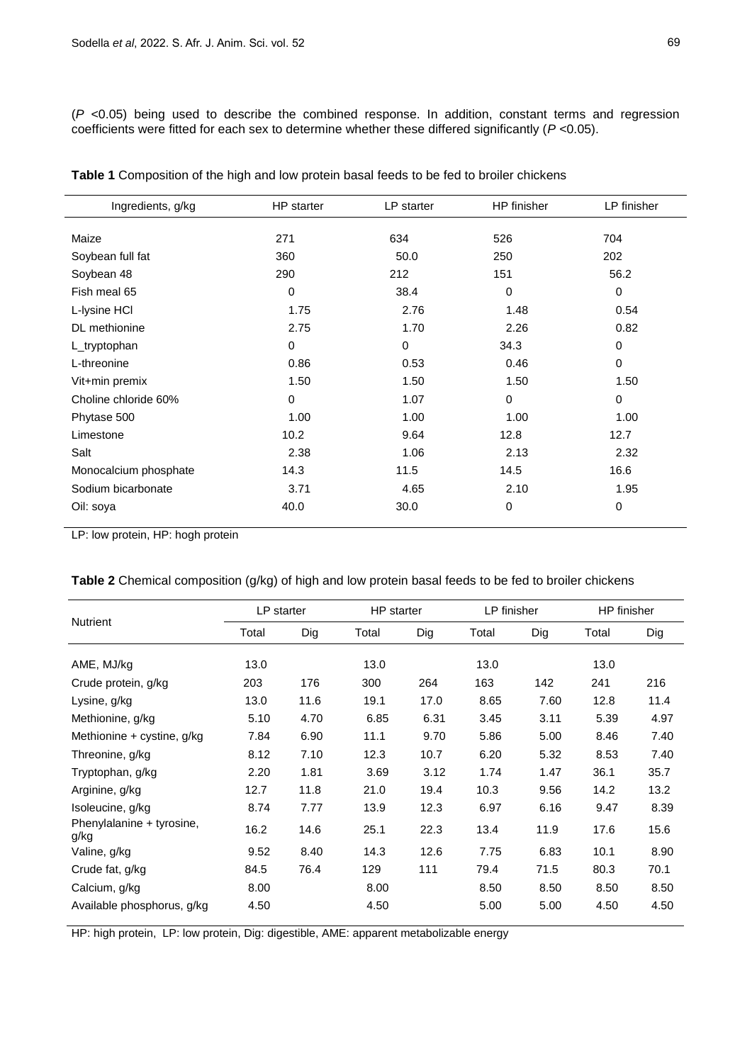(*P* <0.05) being used to describe the combined response. In addition, constant terms and regression coefficients were fitted for each sex to determine whether these differed significantly (*P* <0.05).

| Ingredients, g/kg     | HP starter  | LP starter | HP finisher | LP finisher |
|-----------------------|-------------|------------|-------------|-------------|
| Maize                 | 271         | 634        | 526         | 704         |
| Soybean full fat      | 360         | 50.0       | 250         | 202         |
| Soybean 48            | 290         | 212        | 151         | 56.2        |
| Fish meal 65          | 0           | 38.4       | 0           | $\mathbf 0$ |
| L-Iysine HCI          | 1.75        | 2.76       | 1.48        | 0.54        |
| DL methionine         | 2.75        | 1.70       | 2.26        | 0.82        |
| L_tryptophan          | $\mathbf 0$ | 0          | 34.3        | 0           |
| L-threonine           | 0.86        | 0.53       | 0.46        | $\mathbf 0$ |
| Vit+min premix        | 1.50        | 1.50       | 1.50        | 1.50        |
| Choline chloride 60%  | $\Omega$    | 1.07       | 0           | $\mathbf 0$ |
| Phytase 500           | 1.00        | 1.00       | 1.00        | 1.00        |
| Limestone             | 10.2        | 9.64       | 12.8        | 12.7        |
| Salt                  | 2.38        | 1.06       | 2.13        | 2.32        |
| Monocalcium phosphate | 14.3        | 11.5       | 14.5        | 16.6        |
| Sodium bicarbonate    | 3.71        | 4.65       | 2.10        | 1.95        |
| Oil: soya             | 40.0        | 30.0       | 0           | $\mathbf 0$ |

**Table 1** Composition of the high and low protein basal feeds to be fed to broiler chickens

LP: low protein, HP: hogh protein

| Table 2 Chemical composition (g/kg) of high and low protein basal feeds to be fed to broiler chickens |  |  |  |  |
|-------------------------------------------------------------------------------------------------------|--|--|--|--|
|-------------------------------------------------------------------------------------------------------|--|--|--|--|

|       |      |            | HP starter |              | LP finisher |       | HP finisher |  |
|-------|------|------------|------------|--------------|-------------|-------|-------------|--|
| Total | Dig  | Total      | Dig        | Total<br>Dig |             | Total | Dig         |  |
|       |      |            |            |              |             |       |             |  |
|       |      |            |            |              |             |       |             |  |
| 203   | 176  | 300        | 264        | 163          | 142         | 241   | 216         |  |
| 13.0  | 11.6 | 19.1       | 17.0       | 8.65         | 7.60        | 12.8  | 11.4        |  |
| 5.10  | 4.70 | 6.85       | 6.31       | 3.45         | 3.11        | 5.39  | 4.97        |  |
| 7.84  | 6.90 | 11.1       | 9.70       | 5.86         | 5.00        | 8.46  | 7.40        |  |
| 8.12  | 7.10 | 12.3       | 10.7       | 6.20         | 5.32        | 8.53  | 7.40        |  |
| 2.20  | 1.81 | 3.69       | 3.12       | 1.74         | 1.47        | 36.1  | 35.7        |  |
| 12.7  | 11.8 | 21.0       | 19.4       | 10.3         | 9.56        | 14.2  | 13.2        |  |
| 8.74  | 7.77 | 13.9       | 12.3       | 6.97         | 6.16        | 9.47  | 8.39        |  |
| 16.2  | 14.6 | 25.1       | 22.3       | 13.4         | 11.9        | 17.6  | 15.6        |  |
| 9.52  | 8.40 | 14.3       | 12.6       | 7.75         | 6.83        | 10.1  | 8.90        |  |
| 84.5  | 76.4 | 129        | 111        | 79.4         | 71.5        | 80.3  | 70.1        |  |
| 8.00  |      | 8.00       |            | 8.50         | 8.50        | 8.50  | 8.50        |  |
| 4.50  |      | 4.50       |            | 5.00         | 5.00        | 4.50  | 4.50        |  |
|       | 13.0 | LP starter | 13.0       |              | 13.0        |       | 13.0        |  |

HP: high protein, LP: low protein, Dig: digestible, AME: apparent metabolizable energy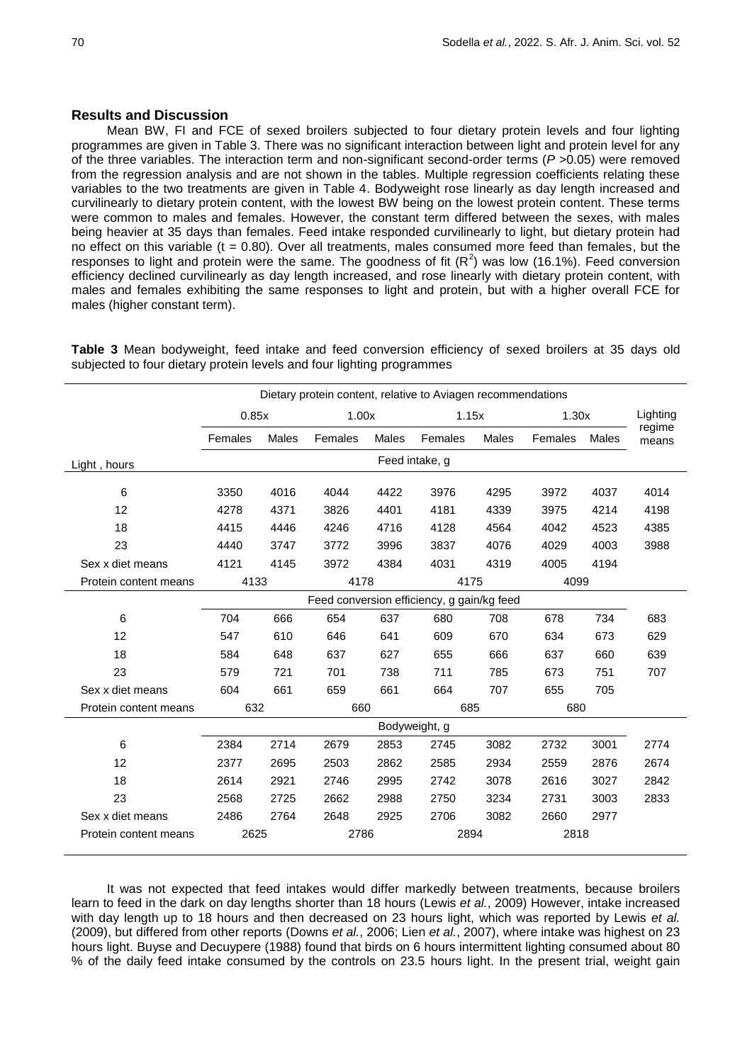### **Results and Discussion**

Mean BW, FI and FCE of sexed broilers subjected to four dietary protein levels and four lighting programmes are given in Table 3. There was no significant interaction between light and protein level for any of the three variables. The interaction term and non-significant second-order terms (*P* >0.05) were removed from the regression analysis and are not shown in the tables. Multiple regression coefficients relating these variables to the two treatments are given in Table 4. Bodyweight rose linearly as day length increased and curvilinearly to dietary protein content, with the lowest BW being on the lowest protein content. These terms were common to males and females. However, the constant term differed between the sexes, with males being heavier at 35 days than females. Feed intake responded curvilinearly to light, but dietary protein had no effect on this variable ( $t = 0.80$ ). Over all treatments, males consumed more feed than females, but the responses to light and protein were the same. The goodness of fit  $(R^2)$  was low (16.1%). Feed conversion efficiency declined curvilinearly as day length increased, and rose linearly with dietary protein content, with males and females exhibiting the same responses to light and protein, but with a higher overall FCE for males (higher constant term).

**Table 3** Mean bodyweight, feed intake and feed conversion efficiency of sexed broilers at 35 days old subjected to four dietary protein levels and four lighting programmes

|                       | Dietary protein content, relative to Aviagen recommendations |                                            |         |              |                |       |       |       |                 |
|-----------------------|--------------------------------------------------------------|--------------------------------------------|---------|--------------|----------------|-------|-------|-------|-----------------|
|                       | 0.85x                                                        |                                            | 1.00x   |              | 1.15x          |       | 1.30x |       | Lighting        |
|                       | Females                                                      | Males                                      | Females | <b>Males</b> | Females        | Males |       | Males | regime<br>means |
| Light, hours          |                                                              |                                            |         |              | Feed intake, g |       |       |       |                 |
| 6                     | 3350                                                         | 4016                                       | 4044    | 4422         | 3976           | 4295  | 3972  | 4037  | 4014            |
| 12                    | 4278                                                         | 4371                                       | 3826    | 4401         | 4181           | 4339  | 3975  | 4214  | 4198            |
| 18                    | 4415                                                         | 4446                                       | 4246    | 4716         | 4128           | 4564  | 4042  | 4523  | 4385            |
| 23                    | 4440                                                         | 3747                                       | 3772    | 3996         | 3837           | 4076  | 4029  | 4003  | 3988            |
| Sex x diet means      | 4121                                                         | 4145                                       | 3972    | 4384         | 4031           | 4319  | 4005  | 4194  |                 |
| Protein content means | 4133                                                         |                                            | 4178    |              | 4175           |       | 4099  |       |                 |
|                       |                                                              | Feed conversion efficiency, g gain/kg feed |         |              |                |       |       |       |                 |
| 6                     | 704                                                          | 666                                        | 654     | 637          | 680            | 708   | 678   | 734   | 683             |
| 12                    | 547                                                          | 610                                        | 646     | 641          | 609            | 670   | 634   | 673   | 629             |
| 18                    | 584                                                          | 648                                        | 637     | 627          | 655            | 666   | 637   | 660   | 639             |
| 23                    | 579                                                          | 721                                        | 701     | 738          | 711            | 785   | 673   | 751   | 707             |
| Sex x diet means      | 604                                                          | 661                                        | 659     | 661          | 664            | 707   | 655   | 705   |                 |
| Protein content means | 632                                                          |                                            |         | 660<br>685   |                |       | 680   |       |                 |
|                       |                                                              |                                            |         |              | Bodyweight, g  |       |       |       |                 |
| 6                     | 2384                                                         | 2714                                       | 2679    | 2853         | 2745           | 3082  | 2732  | 3001  | 2774            |
| 12                    | 2377                                                         | 2695                                       | 2503    | 2862         | 2585           | 2934  | 2559  | 2876  | 2674            |
| 18                    | 2614                                                         | 2921                                       | 2746    | 2995         | 2742           | 3078  | 2616  | 3027  | 2842            |
| 23                    | 2568                                                         | 2725                                       | 2662    | 2988         | 2750           | 3234  | 2731  | 3003  | 2833            |
| Sex x diet means      | 2486                                                         | 2764                                       | 2648    | 2925         | 2706           | 3082  | 2660  | 2977  |                 |
| Protein content means | 2625                                                         |                                            | 2786    |              | 2894           |       | 2818  |       |                 |

It was not expected that feed intakes would differ markedly between treatments, because broilers learn to feed in the dark on day lengths shorter than 18 hours (Lewis *et al.*, 2009) However, intake increased with day length up to 18 hours and then decreased on 23 hours light, which was reported by Lewis *et al.* (2009), but differed from other reports (Downs *et al.*, 2006; Lien *et al.*, 2007), where intake was highest on 23 hours light. Buyse and Decuypere (1988) found that birds on 6 hours intermittent lighting consumed about 80 % of the daily feed intake consumed by the controls on 23.5 hours light. In the present trial, weight gain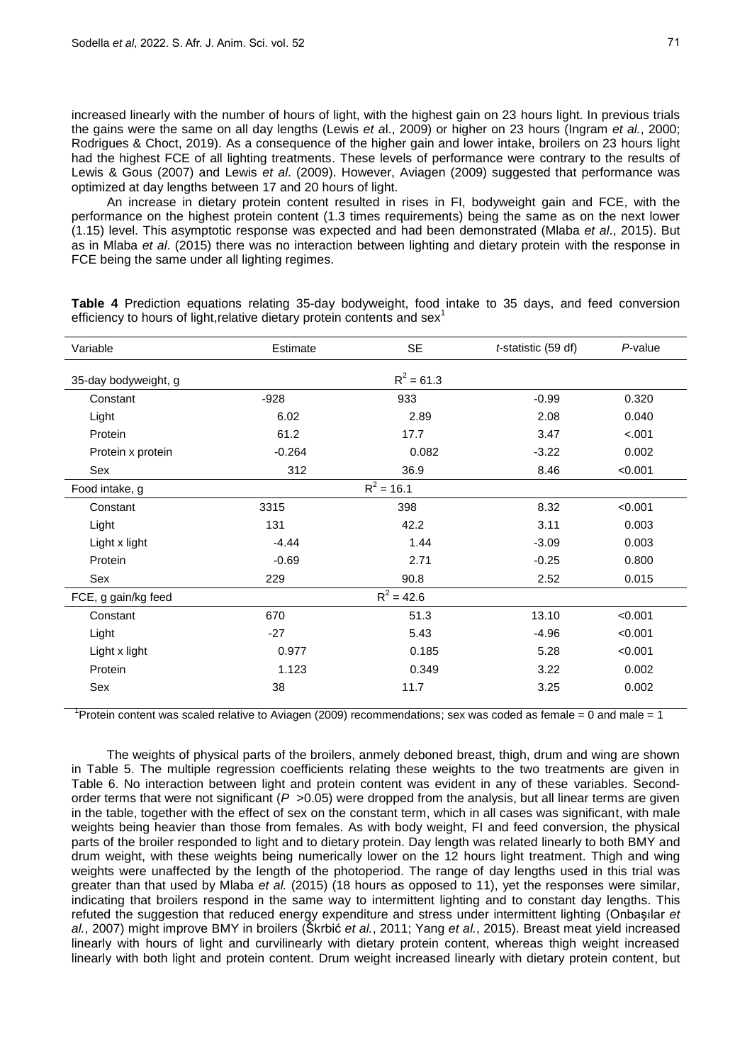increased linearly with the number of hours of light, with the highest gain on 23 hours light. In previous trials the gains were the same on all day lengths (Lewis *et a*l., 2009) or higher on 23 hours (Ingram *et al.*, 2000; Rodrigues & Choct, 2019). As a consequence of the higher gain and lower intake, broilers on 23 hours light had the highest FCE of all lighting treatments. These levels of performance were contrary to the results of Lewis & Gous (2007) and Lewis *et al*. (2009). However, Aviagen (2009) suggested that performance was optimized at day lengths between 17 and 20 hours of light.

An increase in dietary protein content resulted in rises in FI, bodyweight gain and FCE, with the performance on the highest protein content (1.3 times requirements) being the same as on the next lower (1.15) level. This asymptotic response was expected and had been demonstrated (Mlaba *et al*., 2015). But as in Mlaba *et al*. (2015) there was no interaction between lighting and dietary protein with the response in FCE being the same under all lighting regimes.

| Variable             | Estimate | <b>SE</b>    | <i>t</i> -statistic (59 df) | P-value |
|----------------------|----------|--------------|-----------------------------|---------|
| 35-day bodyweight, g |          | $R^2 = 61.3$ |                             |         |
| Constant             | $-928$   | 933          | $-0.99$                     | 0.320   |
| Light                | 6.02     | 2.89         | 2.08                        | 0.040   |
| Protein              | 61.2     | 17.7         | 3.47                        | $-.001$ |
| Protein x protein    | $-0.264$ | 0.082        | $-3.22$                     | 0.002   |
| Sex                  | 312      | 36.9         | 8.46                        | < 0.001 |
| Food intake, g       |          | $R^2$ = 16.1 |                             |         |
| Constant             | 3315     | 398          | 8.32                        | < 0.001 |
| Light                | 131      | 42.2         | 3.11                        | 0.003   |
| Light x light        | $-4.44$  | 1.44         | $-3.09$                     | 0.003   |
| Protein              | $-0.69$  | 2.71         | $-0.25$                     | 0.800   |
| Sex                  | 229      | 90.8         | 2.52                        | 0.015   |
| FCE, g gain/kg feed  |          | $R^2 = 42.6$ |                             |         |
| Constant             | 670      | 51.3         | 13.10                       | < 0.001 |
| Light                | $-27$    | 5.43         | $-4.96$                     | < 0.001 |
| Light x light        | 0.977    | 0.185        | 5.28                        | < 0.001 |
| Protein              | 1.123    | 0.349        | 3.22                        | 0.002   |
| Sex                  | 38       | 11.7         | 3.25                        | 0.002   |

**Table 4** Prediction equations relating 35-day bodyweight, food intake to 35 days, and feed conversion efficiency to hours of light, relative dietary protein contents and sex<sup>1</sup>

<sup>1</sup> Protein content was scaled relative to Aviagen (2009) recommendations; sex was coded as female = 0 and male = 1

The weights of physical parts of the broilers, anmely deboned breast, thigh, drum and wing are shown in Table 5. The multiple regression coefficients relating these weights to the two treatments are given in Table 6. No interaction between light and protein content was evident in any of these variables. Secondorder terms that were not significant ( $P > 0.05$ ) were dropped from the analysis, but all linear terms are given in the table, together with the effect of sex on the constant term, which in all cases was significant, with male weights being heavier than those from females. As with body weight, FI and feed conversion, the physical parts of the broiler responded to light and to dietary protein. Day length was related linearly to both BMY and drum weight, with these weights being numerically lower on the 12 hours light treatment. Thigh and wing weights were unaffected by the length of the photoperiod. The range of day lengths used in this trial was greater than that used by Mlaba *et al.* (2015) (18 hours as opposed to 11), yet the responses were similar, indicating that broilers respond in the same way to intermittent lighting and to constant day lengths. This refuted the suggestion that reduced energy expenditure and stress under intermittent lighting (Onbaşılar *et al.*, 2007) might improve BMY in broilers (Škrbić *et al.*, 2011; Yang *et al.*, 2015). Breast meat yield increased linearly with hours of light and curvilinearly with dietary protein content, whereas thigh weight increased linearly with both light and protein content. Drum weight increased linearly with dietary protein content, but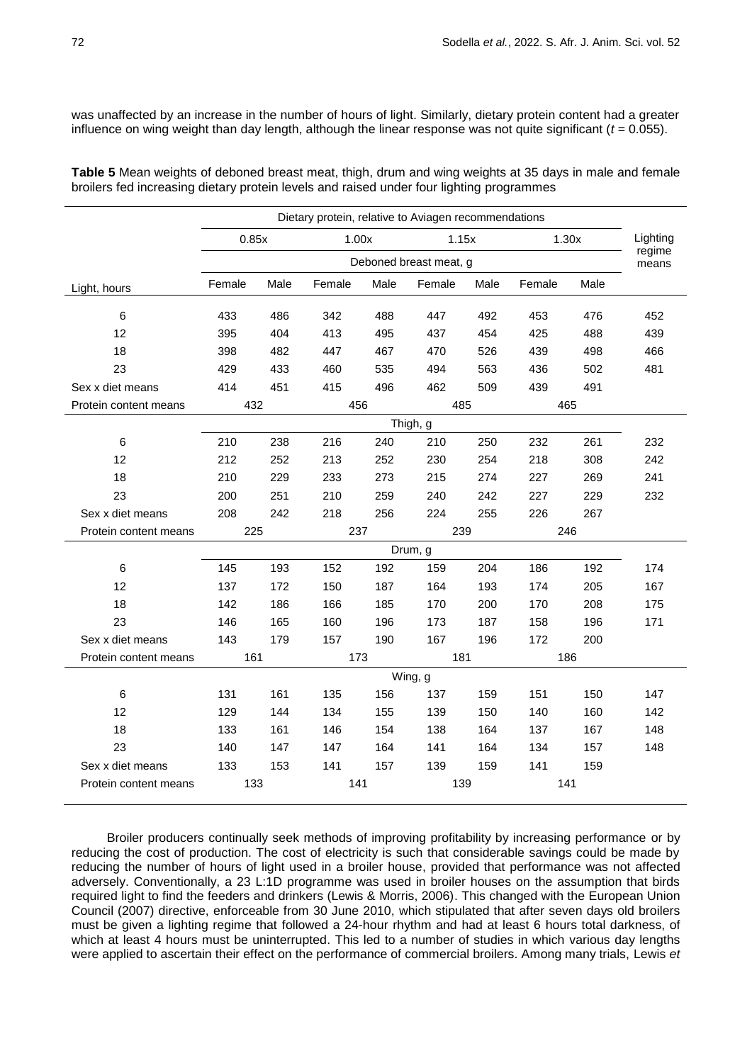was unaffected by an increase in the number of hours of light. Similarly, dietary protein content had a greater influence on wing weight than day length, although the linear response was not quite significant (*t* = 0.055).

**Table 5** Mean weights of deboned breast meat, thigh, drum and wing weights at 35 days in male and female broilers fed increasing dietary protein levels and raised under four lighting programmes

|                       |        | Dietary protein, relative to Aviagen recommendations |            |      |                        |                |            |            |                 |
|-----------------------|--------|------------------------------------------------------|------------|------|------------------------|----------------|------------|------------|-----------------|
|                       | 0.85x  |                                                      | 1.00x      |      |                        | 1.15x<br>1.30x |            |            | Lighting        |
|                       |        |                                                      |            |      | Deboned breast meat, g |                |            |            | regime<br>means |
| Light, hours          | Female | Male                                                 | Female     | Male | Female                 | Male           | Female     | Male       |                 |
| $\,6$                 | 433    |                                                      | 342        | 488  | 447                    | 492            |            |            | 452             |
| 12                    | 395    | 486<br>404                                           | 413        |      |                        | 454            | 453<br>425 | 476<br>488 | 439             |
|                       |        |                                                      |            | 495  | 437                    |                |            |            |                 |
| 18                    | 398    | 482                                                  | 447        | 467  | 470                    | 526            | 439        | 498        | 466             |
| 23                    | 429    | 433                                                  | 460        | 535  | 494                    | 563            | 436        | 502<br>491 | 481             |
| Sex x diet means      | 414    | 451                                                  | 415        | 496  | 462                    | 509            | 439        |            |                 |
| Protein content means | 432    |                                                      | 456        |      | 485                    |                | 465        |            |                 |
|                       |        |                                                      |            |      | Thigh, g               |                |            |            |                 |
| 6                     | 210    | 238                                                  | 216        | 240  | 210                    | 250            | 232        | 261        | 232             |
| 12                    | 212    | 252                                                  | 213        | 252  | 230                    | 254            | 218        | 308        | 242             |
| 18                    | 210    | 229                                                  | 233        | 273  | 215                    | 274            | 227        | 269        | 241             |
| 23                    | 200    | 251                                                  | 210        | 259  | 240                    | 242            | 227        | 229        | 232             |
| Sex x diet means      | 208    | 242                                                  | 218        | 256  | 224                    | 255            | 226        | 267        |                 |
| Protein content means | 225    |                                                      | 237<br>239 |      |                        |                | 246        |            |                 |
|                       |        |                                                      |            |      | Drum, g                |                |            |            |                 |
| $\,6\,$               | 145    | 193                                                  | 152        | 192  | 159                    | 204            | 186        | 192        | 174             |
| 12                    | 137    | 172                                                  | 150        | 187  | 164                    | 193            | 174        | 205        | 167             |
| 18                    | 142    | 186                                                  | 166        | 185  | 170                    | 200            | 170        | 208        | 175             |
| 23                    | 146    | 165                                                  | 160        | 196  | 173                    | 187            | 158        | 196        | 171             |
| Sex x diet means      | 143    | 179                                                  | 157        | 190  | 167                    | 196            | 172        | 200        |                 |
| Protein content means | 161    |                                                      | 173        |      | 181                    |                | 186        |            |                 |
|                       |        |                                                      |            |      | Wing, g                |                |            |            |                 |
| 6                     | 131    | 161                                                  | 135        | 156  | 137                    | 159            | 151        | 150        | 147             |
| 12                    | 129    | 144                                                  | 134        | 155  | 139                    | 150            | 140        | 160        | 142             |
| 18                    | 133    | 161                                                  | 146        | 154  | 138                    | 164            | 137        | 167        | 148             |
| 23                    | 140    | 147                                                  | 147        | 164  | 141                    | 164            | 134        | 157        | 148             |
| Sex x diet means      | 133    | 153                                                  | 141        | 157  | 139                    | 159            | 141        | 159        |                 |
| Protein content means | 133    |                                                      | 141        |      | 139                    |                | 141        |            |                 |
|                       |        |                                                      |            |      |                        |                |            |            |                 |

Broiler producers continually seek methods of improving profitability by increasing performance or by reducing the cost of production. The cost of electricity is such that considerable savings could be made by reducing the number of hours of light used in a broiler house, provided that performance was not affected adversely. Conventionally, a 23 L:1D programme was used in broiler houses on the assumption that birds required light to find the feeders and drinkers (Lewis & Morris, 2006). This changed with the European Union Council (2007) directive, enforceable from 30 June 2010, which stipulated that after seven days old broilers must be given a lighting regime that followed a 24-hour rhythm and had at least 6 hours total darkness, of which at least 4 hours must be uninterrupted. This led to a number of studies in which various day lengths were applied to ascertain their effect on the performance of commercial broilers. Among many trials, Lewis *et*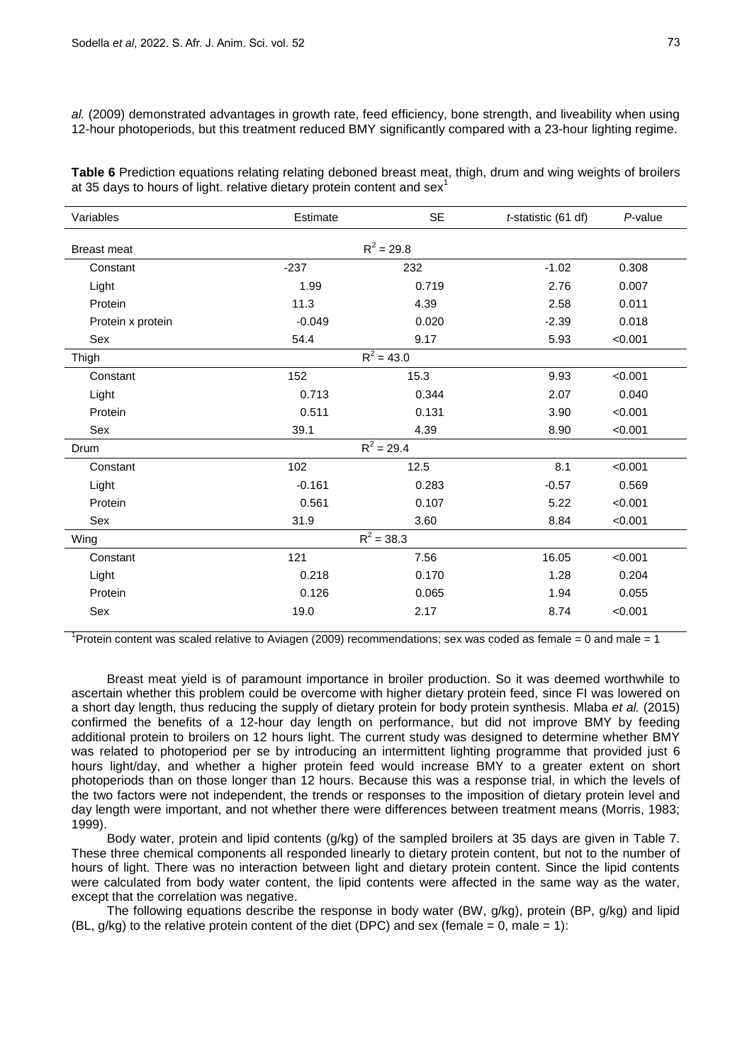*al.* (2009) demonstrated advantages in growth rate, feed efficiency, bone strength, and liveability when using 12-hour photoperiods, but this treatment reduced BMY significantly compared with a 23-hour lighting regime.

**Table 6** Prediction equations relating relating deboned breast meat, thigh, drum and wing weights of broilers at 35 days to hours of light. relative dietary protein content and sex<sup>1</sup>

| Variables          | Estimate | <b>SE</b>    | $t$ -statistic (61 df) | $P$ -value |
|--------------------|----------|--------------|------------------------|------------|
| <b>Breast meat</b> |          | $R^2 = 29.8$ |                        |            |
| Constant           | $-237$   | 232          | $-1.02$                | 0.308      |
| Light              | 1.99     | 0.719        | 2.76                   | 0.007      |
| Protein            | 11.3     | 4.39         | 2.58                   | 0.011      |
| Protein x protein  | $-0.049$ | 0.020        | $-2.39$                | 0.018      |
| Sex                | 54.4     | 9.17         | 5.93                   | < 0.001    |
| Thigh              |          | $R^2 = 43.0$ |                        |            |
| Constant           | 152      | 15.3         | 9.93                   | < 0.001    |
| Light              | 0.713    | 0.344        | 2.07                   | 0.040      |
| Protein            | 0.511    | 0.131        | 3.90                   | < 0.001    |
| Sex                | 39.1     | 4.39         | 8.90                   | < 0.001    |
| Drum               |          | $R^2 = 29.4$ |                        |            |
| Constant           | 102      | 12.5         | 8.1                    | < 0.001    |
| Light              | $-0.161$ | 0.283        | $-0.57$                | 0.569      |
| Protein            | 0.561    | 0.107        | 5.22                   | < 0.001    |
| Sex                | 31.9     | 3.60         | 8.84                   | < 0.001    |
| Wing               |          | $R^2 = 38.3$ |                        |            |
| Constant           | 121      | 7.56         | 16.05                  | < 0.001    |
| Light              | 0.218    | 0.170        | 1.28                   | 0.204      |
| Protein            | 0.126    | 0.065        | 1.94                   | 0.055      |
| Sex                | 19.0     | 2.17         | 8.74                   | < 0.001    |

<sup>1</sup> Protein content was scaled relative to Aviagen (2009) recommendations; sex was coded as female = 0 and male = 1

Breast meat yield is of paramount importance in broiler production. So it was deemed worthwhile to ascertain whether this problem could be overcome with higher dietary protein feed, since FI was lowered on a short day length, thus reducing the supply of dietary protein for body protein synthesis. Mlaba *et al.* (2015) confirmed the benefits of a 12-hour day length on performance, but did not improve BMY by feeding additional protein to broilers on 12 hours light. The current study was designed to determine whether BMY was related to photoperiod per se by introducing an intermittent lighting programme that provided just 6 hours light/day, and whether a higher protein feed would increase BMY to a greater extent on short photoperiods than on those longer than 12 hours. Because this was a response trial, in which the levels of the two factors were not independent, the trends or responses to the imposition of dietary protein level and day length were important, and not whether there were differences between treatment means (Morris, 1983; 1999).

Body water, protein and lipid contents (g/kg) of the sampled broilers at 35 days are given in Table 7. These three chemical components all responded linearly to dietary protein content, but not to the number of hours of light. There was no interaction between light and dietary protein content. Since the lipid contents were calculated from body water content, the lipid contents were affected in the same way as the water, except that the correlation was negative.

The following equations describe the response in body water (BW, g/kg), protein (BP, g/kg) and lipid (BL,  $g/kg$ ) to the relative protein content of the diet (DPC) and sex (female = 0, male = 1):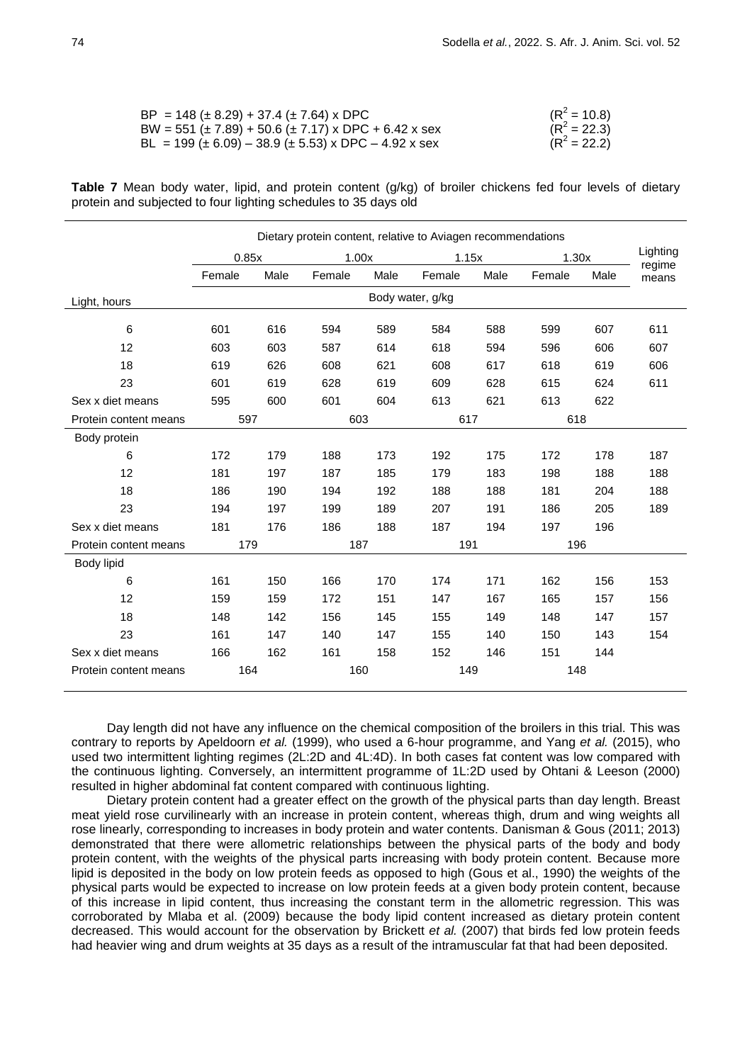| $BP = 148 (\pm 8.29) + 37.4 (\pm 7.64) \times DPC$             | $(R^2 = 10.8)$ |
|----------------------------------------------------------------|----------------|
| BW = 551 ( $\pm$ 7.89) + 50.6 ( $\pm$ 7.17) x DPC + 6.42 x sex | $(R^2 = 22.3)$ |
| $BL = 199 (\pm 6.09) - 38.9 (\pm 5.53)$ x DPC $- 4.92$ x sex   | $(R^2 = 22.2)$ |

|                                                                 |  |  |  |  | Table 7 Mean body water, lipid, and protein content (g/kg) of broiler chickens fed four levels of dietary |  |  |  |
|-----------------------------------------------------------------|--|--|--|--|-----------------------------------------------------------------------------------------------------------|--|--|--|
| protein and subjected to four lighting schedules to 35 days old |  |  |  |  |                                                                                                           |  |  |  |

|                       | Dietary protein content, relative to Aviagen recommendations |      |        |      |                  |      |        |                    |       |
|-----------------------|--------------------------------------------------------------|------|--------|------|------------------|------|--------|--------------------|-------|
|                       | 0.85x                                                        |      | 1.00x  |      | 1.15x            |      | 1.30x  | Lighting<br>regime |       |
|                       | Female                                                       | Male | Female | Male | Female           | Male | Female | Male               | means |
| Light, hours          |                                                              |      |        |      | Body water, g/kg |      |        |                    |       |
| $6\phantom{1}6$       | 601                                                          | 616  | 594    | 589  | 584              | 588  | 599    | 607                | 611   |
| 12                    | 603                                                          | 603  | 587    | 614  | 618              | 594  | 596    | 606                | 607   |
| 18                    | 619                                                          | 626  | 608    | 621  | 608              | 617  | 618    | 619                | 606   |
| 23                    | 601                                                          | 619  | 628    | 619  | 609              | 628  | 615    | 624                | 611   |
| Sex x diet means      | 595                                                          | 600  | 601    | 604  | 613              | 621  | 613    | 622                |       |
| Protein content means | 597                                                          |      | 603    |      | 617              |      | 618    |                    |       |
| Body protein          |                                                              |      |        |      |                  |      |        |                    |       |
| 6                     | 172                                                          | 179  | 188    | 173  | 192              | 175  | 172    | 178                | 187   |
| 12                    | 181                                                          | 197  | 187    | 185  | 179              | 183  | 198    | 188                | 188   |
| 18                    | 186                                                          | 190  | 194    | 192  | 188              | 188  | 181    | 204                | 188   |
| 23                    | 194                                                          | 197  | 199    | 189  | 207              | 191  | 186    | 205                | 189   |
| Sex x diet means      | 181                                                          | 176  | 186    | 188  | 187              | 194  | 197    | 196                |       |
| Protein content means | 179                                                          |      | 187    |      | 191              |      | 196    |                    |       |
| Body lipid            |                                                              |      |        |      |                  |      |        |                    |       |
| 6                     | 161                                                          | 150  | 166    | 170  | 174              | 171  | 162    | 156                | 153   |
| 12                    | 159                                                          | 159  | 172    | 151  | 147              | 167  | 165    | 157                | 156   |
| 18                    | 148                                                          | 142  | 156    | 145  | 155              | 149  | 148    | 147                | 157   |
| 23                    | 161                                                          | 147  | 140    | 147  | 155              | 140  | 150    | 143                | 154   |
| Sex x diet means      | 166                                                          | 162  | 161    | 158  | 152              | 146  | 151    | 144                |       |
| Protein content means | 164                                                          |      | 160    |      | 149              |      | 148    |                    |       |

Day length did not have any influence on the chemical composition of the broilers in this trial. This was contrary to reports by Apeldoorn *et al.* (1999), who used a 6-hour programme, and Yang *et al.* (2015), who used two intermittent lighting regimes (2L:2D and 4L:4D). In both cases fat content was low compared with the continuous lighting. Conversely, an intermittent programme of 1L:2D used by Ohtani & Leeson (2000) resulted in higher abdominal fat content compared with continuous lighting.

Dietary protein content had a greater effect on the growth of the physical parts than day length. Breast meat yield rose curvilinearly with an increase in protein content, whereas thigh, drum and wing weights all rose linearly, corresponding to increases in body protein and water contents. Danisman & Gous (2011; 2013) demonstrated that there were allometric relationships between the physical parts of the body and body protein content, with the weights of the physical parts increasing with body protein content. Because more lipid is deposited in the body on low protein feeds as opposed to high (Gous et al., 1990) the weights of the physical parts would be expected to increase on low protein feeds at a given body protein content, because of this increase in lipid content, thus increasing the constant term in the allometric regression. This was corroborated by Mlaba et al. (2009) because the body lipid content increased as dietary protein content decreased. This would account for the observation by Brickett *et al.* (2007) that birds fed low protein feeds had heavier wing and drum weights at 35 days as a result of the intramuscular fat that had been deposited.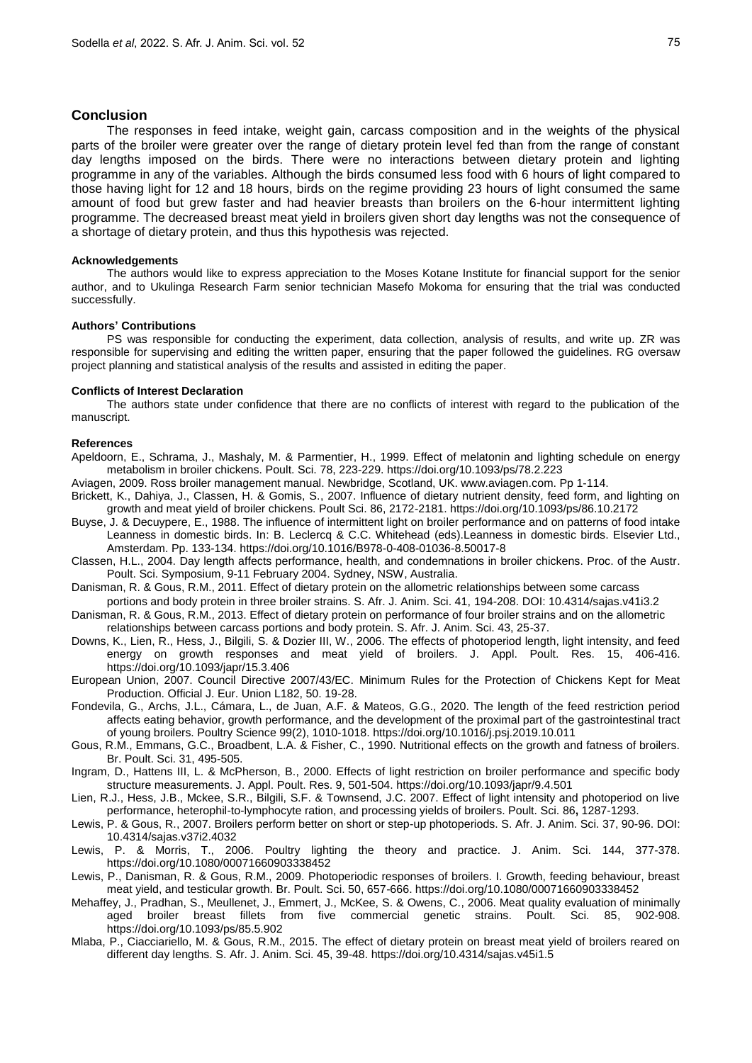### **Conclusion**

The responses in feed intake, weight gain, carcass composition and in the weights of the physical parts of the broiler were greater over the range of dietary protein level fed than from the range of constant day lengths imposed on the birds. There were no interactions between dietary protein and lighting programme in any of the variables. Although the birds consumed less food with 6 hours of light compared to those having light for 12 and 18 hours, birds on the regime providing 23 hours of light consumed the same amount of food but grew faster and had heavier breasts than broilers on the 6-hour intermittent lighting programme. The decreased breast meat yield in broilers given short day lengths was not the consequence of a shortage of dietary protein, and thus this hypothesis was rejected.

### **Acknowledgements**

The authors would like to express appreciation to the Moses Kotane Institute for financial support for the senior author, and to Ukulinga Research Farm senior technician Masefo Mokoma for ensuring that the trial was conducted successfully.

### **Authors' Contributions**

PS was responsible for conducting the experiment, data collection, analysis of results, and write up. ZR was responsible for supervising and editing the written paper, ensuring that the paper followed the guidelines. RG oversaw project planning and statistical analysis of the results and assisted in editing the paper.

### **Conflicts of Interest Declaration**

The authors state under confidence that there are no conflicts of interest with regard to the publication of the manuscript.

#### **References**

Apeldoorn, E., Schrama, J., Mashaly, M. & Parmentier, H., 1999. Effect of melatonin and lighting schedule on energy metabolism in broiler chickens. Poult. Sci. 78, 223-229. https://doi.org/10.1093/ps/78.2.223

Aviagen, 2009. Ross broiler management manual. Newbridge, Scotland, UK. www.aviagen.com. Pp 1-114.

- Brickett, K., Dahiya, J., Classen, H. & Gomis, S., 2007. Influence of dietary nutrient density, feed form, and lighting on growth and meat yield of broiler chickens. Poult Sci. 86, 2172-2181. https://doi.org/10.1093/ps/86.10.2172
- Buyse, J. & Decuypere, E., 1988. The influence of intermittent light on broiler performance and on patterns of food intake Leanness in domestic birds. In: B. Leclercq & C.C. Whitehead (eds).Leanness in domestic birds. Elsevier Ltd., Amsterdam. Pp. 133-134. https://doi.org/10.1016/B978-0-408-01036-8.50017-8
- Classen, H.L., 2004. Day length affects performance, health, and condemnations in broiler chickens. Proc. of the Austr. Poult. Sci. Symposium, 9-11 February 2004. Sydney, NSW, Australia.
- Danisman, R. & Gous, R.M., 2011. Effect of dietary protein on the allometric relationships between some carcass
- portions and body protein in three broiler strains. S. Afr. J. Anim. Sci. 41, 194-208. DOI: 10.4314/sajas.v41i3.2 Danisman, R. & Gous, R.M., 2013. Effect of dietary protein on performance of four broiler strains and on the allometric
- relationships between carcass portions and body protein. S. Afr. J. Anim. Sci. 43, 25-37.
- Downs, K., Lien, R., Hess, J., Bilgili, S. & Dozier III, W., 2006. The effects of photoperiod length, light intensity, and feed energy on growth responses and meat yield of broilers. J. Appl. Poult. Res. 15, 406-416. https://doi.org/10.1093/japr/15.3.406
- European Union, 2007. Council Directive 2007/43/EC. Minimum Rules for the Protection of Chickens Kept for Meat Production. Official J. Eur. Union L182, 50. 19-28.
- Fondevila, G., Archs, J.L., Cámara, L., de Juan, A.F. & Mateos, G.G., 2020. The length of the feed restriction period affects eating behavior, growth performance, and the development of the proximal part of the gastrointestinal tract of young broilers. Poultry Science 99(2), 1010-1018. https://doi.org/10.1016/j.psj.2019.10.011
- Gous, R.M., Emmans, G.C., Broadbent, L.A. & Fisher, C., 1990. Nutritional effects on the growth and fatness of broilers. Br. Poult. Sci. 31, 495-505.
- Ingram, D., Hattens III, L. & McPherson, B., 2000. Effects of light restriction on broiler performance and specific body structure measurements. J. Appl. Poult. Res. 9, 501-504. https://doi.org/10.1093/japr/9.4.501
- Lien, R.J., Hess, J.B., Mckee, S.R., Bilgili, S.F. & Townsend, J.C. 2007. Effect of light intensity and photoperiod on live performance, heterophil-to-lymphocyte ration, and processing yields of broilers. Poult. Sci. 86**,** 1287-1293.
- Lewis, P. & Gous, R., 2007. Broilers perform better on short or step-up photoperiods. S. Afr. J. Anim. Sci. 37, 90-96. DOI: 10.4314/sajas.v37i2.4032
- Lewis, P. & Morris, T., 2006. Poultry lighting the theory and practice. J. Anim. Sci. 144, 377-378. https://doi.org/10.1080/00071660903338452
- Lewis, P., Danisman, R. & Gous, R.M., 2009. Photoperiodic responses of broilers. I. Growth, feeding behaviour, breast meat yield, and testicular growth. Br. Poult. Sci. 50, 657-666. https://doi.org/10.1080/00071660903338452
- Mehaffey, J., Pradhan, S., Meullenet, J., Emmert, J., McKee, S. & Owens, C., 2006. Meat quality evaluation of minimally aged broiler breast fillets from five commercial genetic strains. Poult. Sci. 85, 902-908. https://doi.org/10.1093/ps/85.5.902
- Mlaba, P., Ciacciariello, M. & Gous, R.M., 2015. The effect of dietary protein on breast meat yield of broilers reared on different day lengths. S. Afr. J. Anim. Sci. 45, 39-48. https://doi.org/10.4314/sajas.v45i1.5